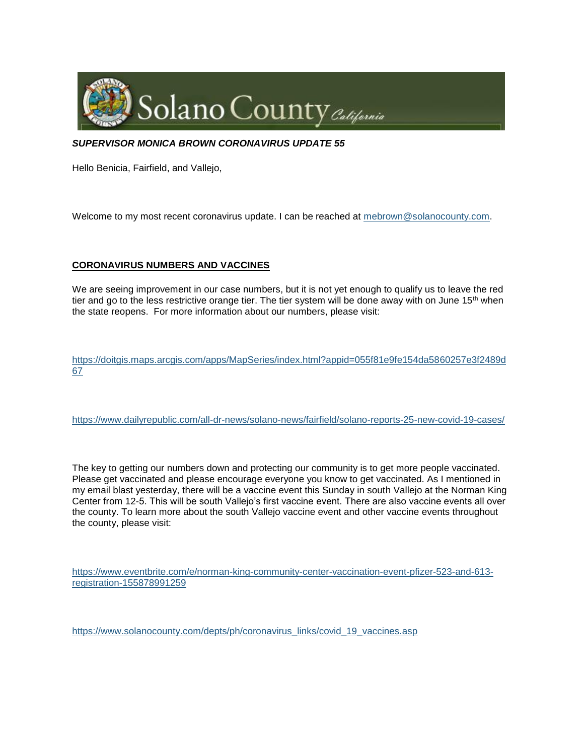

### *SUPERVISOR MONICA BROWN CORONAVIRUS UPDATE 55*

Hello Benicia, Fairfield, and Vallejo,

Welcome to my most recent coronavirus update. I can be reached at [mebrown@solanocounty.com.](mailto:mebrown@solanocounty.com)

## **CORONAVIRUS NUMBERS AND VACCINES**

We are seeing improvement in our case numbers, but it is not yet enough to qualify us to leave the red tier and go to the less restrictive orange tier. The tier system will be done away with on June  $15<sup>th</sup>$  when the state reopens. For more information about our numbers, please visit:

[https://doitgis.maps.arcgis.com/apps/MapSeries/index.html?appid=055f81e9fe154da5860257e3f2489d](https://doitgis.maps.arcgis.com/apps/MapSeries/index.html?appid=055f81e9fe154da5860257e3f2489d67) [67](https://doitgis.maps.arcgis.com/apps/MapSeries/index.html?appid=055f81e9fe154da5860257e3f2489d67)

<https://www.dailyrepublic.com/all-dr-news/solano-news/fairfield/solano-reports-25-new-covid-19-cases/>

The key to getting our numbers down and protecting our community is to get more people vaccinated. Please get vaccinated and please encourage everyone you know to get vaccinated. As I mentioned in my email blast yesterday, there will be a vaccine event this Sunday in south Vallejo at the Norman King Center from 12-5. This will be south Vallejo's first vaccine event. There are also vaccine events all over the county. To learn more about the south Vallejo vaccine event and other vaccine events throughout the county, please visit:

[https://www.eventbrite.com/e/norman-king-community-center-vaccination-event-pfizer-523-and-613](https://www.eventbrite.com/e/norman-king-community-center-vaccination-event-pfizer-523-and-613-registration-155878991259) [registration-155878991259](https://www.eventbrite.com/e/norman-king-community-center-vaccination-event-pfizer-523-and-613-registration-155878991259)

[https://www.solanocounty.com/depts/ph/coronavirus\\_links/covid\\_19\\_vaccines.asp](https://www.solanocounty.com/depts/ph/coronavirus_links/covid_19_vaccines.asp)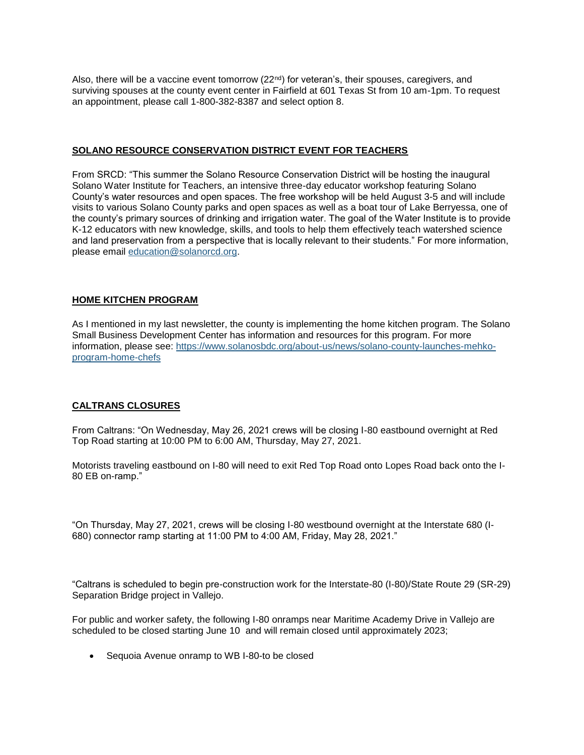Also, there will be a vaccine event tomorrow  $(22<sup>nd</sup>)$  for veteran's, their spouses, caregivers, and surviving spouses at the county event center in Fairfield at 601 Texas St from 10 am-1pm. To request an appointment, please call 1-800-382-8387 and select option 8.

### **SOLANO RESOURCE CONSERVATION DISTRICT EVENT FOR TEACHERS**

From SRCD: "This summer the Solano Resource Conservation District will be hosting the inaugural Solano Water Institute for Teachers, an intensive three-day educator workshop featuring Solano County's water resources and open spaces. The free workshop will be held August 3-5 and will include visits to various Solano County parks and open spaces as well as a boat tour of Lake Berryessa, one of the county's primary sources of drinking and irrigation water. The goal of the Water Institute is to provide K-12 educators with new knowledge, skills, and tools to help them effectively teach watershed science and land preservation from a perspective that is locally relevant to their students." For more information, please email [education@solanorcd.org.](mailto:education@solanorcd.org)

## **HOME KITCHEN PROGRAM**

As I mentioned in my last newsletter, the county is implementing the home kitchen program. The Solano Small Business Development Center has information and resources for this program. For more information, please see: [https://www.solanosbdc.org/about-us/news/solano-county-launches-mehko](https://www.solanosbdc.org/about-us/news/solano-county-launches-mehko-program-home-chefs)[program-home-chefs](https://www.solanosbdc.org/about-us/news/solano-county-launches-mehko-program-home-chefs)

# **CALTRANS CLOSURES**

From Caltrans: "On Wednesday, May 26, 2021 crews will be closing I-80 eastbound overnight at Red Top Road starting at 10:00 PM to 6:00 AM, Thursday, May 27, 2021.

Motorists traveling eastbound on I-80 will need to exit Red Top Road onto Lopes Road back onto the I-80 EB on-ramp."

"On Thursday, May 27, 2021, crews will be closing I-80 westbound overnight at the Interstate 680 (I-680) connector ramp starting at 11:00 PM to 4:00 AM, Friday, May 28, 2021."

"Caltrans is scheduled to begin pre-construction work for the Interstate-80 (I-80)/State Route 29 (SR-29) Separation Bridge project in Vallejo.

For public and worker safety, the following I-80 onramps near Maritime Academy Drive in Vallejo are scheduled to be closed starting June 10 and will remain closed until approximately 2023;

• Sequoia Avenue onramp to WB I-80-to be closed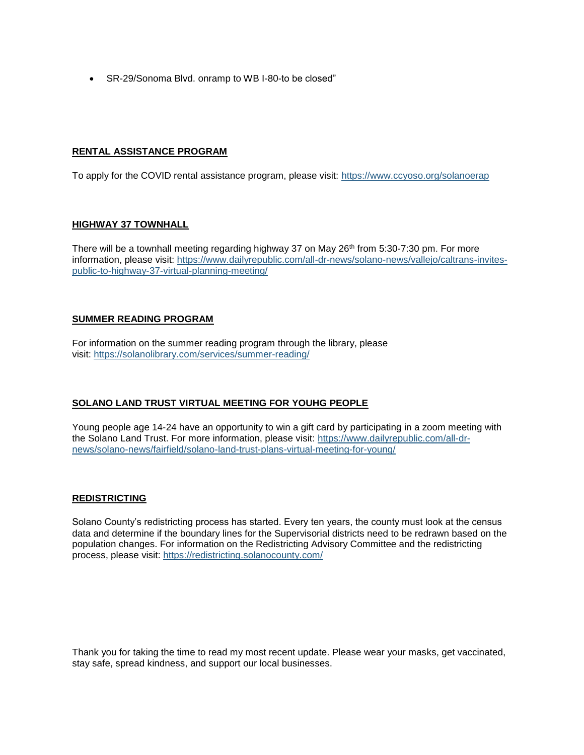• SR-29/Sonoma Blvd. onramp to WB I-80-to be closed"

## **RENTAL ASSISTANCE PROGRAM**

To apply for the COVID rental assistance program, please visit: <https://www.ccyoso.org/solanoerap>

## **HIGHWAY 37 TOWNHALL**

There will be a townhall meeting regarding highway 37 on May  $26<sup>th</sup>$  from 5:30-7:30 pm. For more information, please visit: [https://www.dailyrepublic.com/all-dr-news/solano-news/vallejo/caltrans-invites](https://www.dailyrepublic.com/all-dr-news/solano-news/vallejo/caltrans-invites-public-to-highway-37-virtual-planning-meeting/)[public-to-highway-37-virtual-planning-meeting/](https://www.dailyrepublic.com/all-dr-news/solano-news/vallejo/caltrans-invites-public-to-highway-37-virtual-planning-meeting/)

# **SUMMER READING PROGRAM**

For information on the summer reading program through the library, please visit: <https://solanolibrary.com/services/summer-reading/>

# **SOLANO LAND TRUST VIRTUAL MEETING FOR YOUHG PEOPLE**

Young people age 14-24 have an opportunity to win a gift card by participating in a zoom meeting with the Solano Land Trust. For more information, please visit: [https://www.dailyrepublic.com/all-dr](https://www.dailyrepublic.com/all-dr-news/solano-news/fairfield/solano-land-trust-plans-virtual-meeting-for-young/)[news/solano-news/fairfield/solano-land-trust-plans-virtual-meeting-for-young/](https://www.dailyrepublic.com/all-dr-news/solano-news/fairfield/solano-land-trust-plans-virtual-meeting-for-young/)

# **REDISTRICTING**

Solano County's redistricting process has started. Every ten years, the county must look at the census data and determine if the boundary lines for the Supervisorial districts need to be redrawn based on the population changes. For information on the Redistricting Advisory Committee and the redistricting process, please visit: <https://redistricting.solanocounty.com/>

Thank you for taking the time to read my most recent update. Please wear your masks, get vaccinated, stay safe, spread kindness, and support our local businesses.